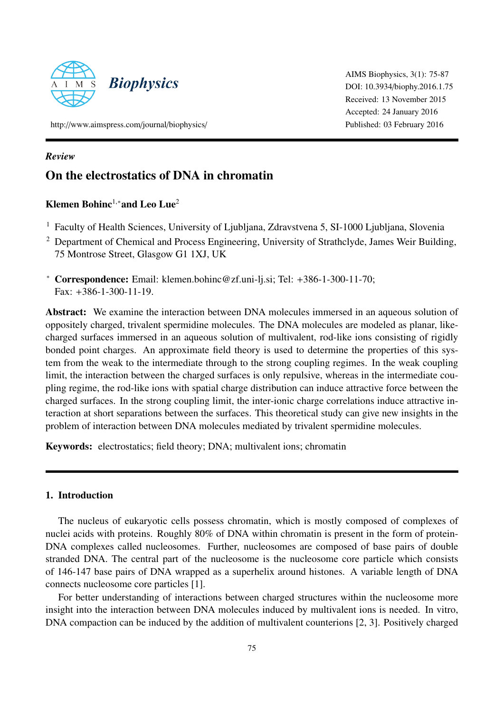

AIMS Biophysics, 3(1): 75-87 DOI: 10.3934/[biophy.2016.1.75](http://dx.doi.org/10.3934/biophy.2016.1.75) Received: 13 November 2015 Accepted: 24 January 2016 Published: 03 February 2016

http://[www.aimspress.com](\protect \relax \protect \edef txr{txr}\protect \xdef \U/txexa/m/n/5 {\OT1/txr/m/n/10 }\U/txexa/m/n/5 \size@update \enc@update http://www.aimspress.com/journal/biophysics/)/journal/biophysics/

### *Review*

# On the electrostatics of DNA in chromatin

## Klemen Bohinc<sup>1,\*</sup>and Leo Lue<sup>2</sup>

- <sup>1</sup> Faculty of Health Sciences, University of Ljubljana, Zdravstvena 5, SI-1000 Ljubljana, Slovenia
- <sup>2</sup> Department of Chemical and Process Engineering, University of Strathclyde, James Weir Building, 75 Montrose Street, Glasgow G1 1XJ, UK
- <sup>∗</sup> Correspondence: Email: klemen.bohinc@zf.uni-lj.si; Tel: +386-1-300-11-70; Fax: +386-1-300-11-19.

Abstract: We examine the interaction between DNA molecules immersed in an aqueous solution of oppositely charged, trivalent spermidine molecules. The DNA molecules are modeled as planar, likecharged surfaces immersed in an aqueous solution of multivalent, rod-like ions consisting of rigidly bonded point charges. An approximate field theory is used to determine the properties of this system from the weak to the intermediate through to the strong coupling regimes. In the weak coupling limit, the interaction between the charged surfaces is only repulsive, whereas in the intermediate coupling regime, the rod-like ions with spatial charge distribution can induce attractive force between the charged surfaces. In the strong coupling limit, the inter-ionic charge correlations induce attractive interaction at short separations between the surfaces. This theoretical study can give new insights in the problem of interaction between DNA molecules mediated by trivalent spermidine molecules.

Keywords: electrostatics; field theory; DNA; multivalent ions; chromatin

## 1. Introduction

The nucleus of eukaryotic cells possess chromatin, which is mostly composed of complexes of nuclei acids with proteins. Roughly 80% of DNA within chromatin is present in the form of protein-DNA complexes called nucleosomes. Further, nucleosomes are composed of base pairs of double stranded DNA. The central part of the nucleosome is the nucleosome core particle which consists of 146-147 base pairs of DNA wrapped as a superhelix around histones. A variable length of DNA connects nucleosome core particles [\[1\]](#page-8-0).

For better understanding of interactions between charged structures within the nucleosome more insight into the interaction between DNA molecules induced by multivalent ions is needed. In vitro, DNA compaction can be induced by the addition of multivalent counterions [\[2,](#page-9-0) [3\]](#page-9-1). Positively charged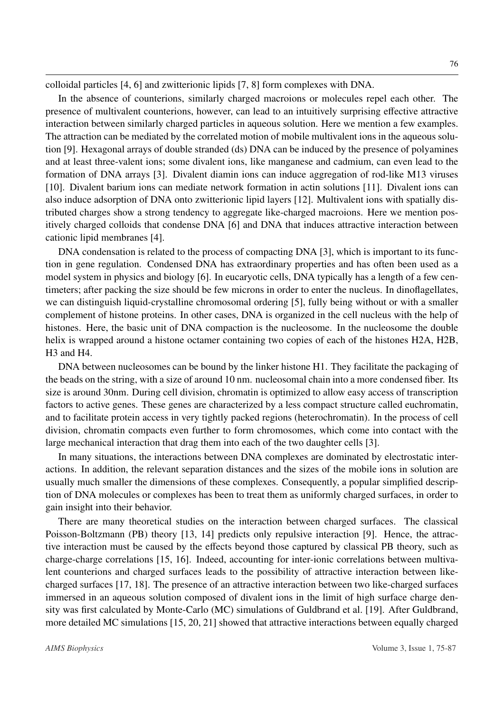colloidal particles [\[4,](#page-9-2) [6\]](#page-9-3) and zwitterionic lipids [\[7,](#page-9-4) [8\]](#page-9-5) form complexes with DNA.

In the absence of counterions, similarly charged macroions or molecules repel each other. The presence of multivalent counterions, however, can lead to an intuitively surprising effective attractive interaction between similarly charged particles in aqueous solution. Here we mention a few examples. The attraction can be mediated by the correlated motion of mobile multivalent ions in the aqueous solution [\[9\]](#page-9-6). Hexagonal arrays of double stranded (ds) DNA can be induced by the presence of polyamines and at least three-valent ions; some divalent ions, like manganese and cadmium, can even lead to the formation of DNA arrays [\[3\]](#page-9-1). Divalent diamin ions can induce aggregation of rod-like M13 viruses [\[10\]](#page-9-7). Divalent barium ions can mediate network formation in actin solutions [\[11\]](#page-9-8). Divalent ions can also induce adsorption of DNA onto zwitterionic lipid layers [\[12\]](#page-9-9). Multivalent ions with spatially distributed charges show a strong tendency to aggregate like-charged macroions. Here we mention positively charged colloids that condense DNA [\[6\]](#page-9-3) and DNA that induces attractive interaction between cationic lipid membranes [\[4\]](#page-9-2).

DNA condensation is related to the process of compacting DNA [\[3\]](#page-9-1), which is important to its function in gene regulation. Condensed DNA has extraordinary properties and has often been used as a model system in physics and biology [\[6\]](#page-9-3). In eucaryotic cells, DNA typically has a length of a few centimeters; after packing the size should be few microns in order to enter the nucleus. In dinoflagellates, we can distinguish liquid-crystalline chromosomal ordering [\[5\]](#page-9-10), fully being without or with a smaller complement of histone proteins. In other cases, DNA is organized in the cell nucleus with the help of histones. Here, the basic unit of DNA compaction is the nucleosome. In the nucleosome the double helix is wrapped around a histone octamer containing two copies of each of the histones H2A, H2B, H3 and H4.

DNA between nucleosomes can be bound by the linker histone H1. They facilitate the packaging of the beads on the string, with a size of around 10 nm. nucleosomal chain into a more condensed fiber. Its size is around 30nm. During cell division, chromatin is optimized to allow easy access of transcription factors to active genes. These genes are characterized by a less compact structure called euchromatin, and to facilitate protein access in very tightly packed regions (heterochromatin). In the process of cell division, chromatin compacts even further to form chromosomes, which come into contact with the large mechanical interaction that drag them into each of the two daughter cells [\[3\]](#page-9-1).

In many situations, the interactions between DNA complexes are dominated by electrostatic interactions. In addition, the relevant separation distances and the sizes of the mobile ions in solution are usually much smaller the dimensions of these complexes. Consequently, a popular simplified description of DNA molecules or complexes has been to treat them as uniformly charged surfaces, in order to gain insight into their behavior.

There are many theoretical studies on the interaction between charged surfaces. The classical Poisson-Boltzmann (PB) theory [\[13,](#page-9-11) [14\]](#page-9-12) predicts only repulsive interaction [\[9\]](#page-9-6). Hence, the attractive interaction must be caused by the effects beyond those captured by classical PB theory, such as charge-charge correlations [\[15,](#page-9-13) [16\]](#page-9-14). Indeed, accounting for inter-ionic correlations between multivalent counterions and charged surfaces leads to the possibility of attractive interaction between likecharged surfaces [\[17,](#page-9-15) [18\]](#page-9-16). The presence of an attractive interaction between two like-charged surfaces immersed in an aqueous solution composed of divalent ions in the limit of high surface charge density was first calculated by Monte-Carlo (MC) simulations of Guldbrand et al. [\[19\]](#page-9-17). After Guldbrand, more detailed MC simulations [\[15,](#page-9-13) [20,](#page-10-0) [21\]](#page-10-1) showed that attractive interactions between equally charged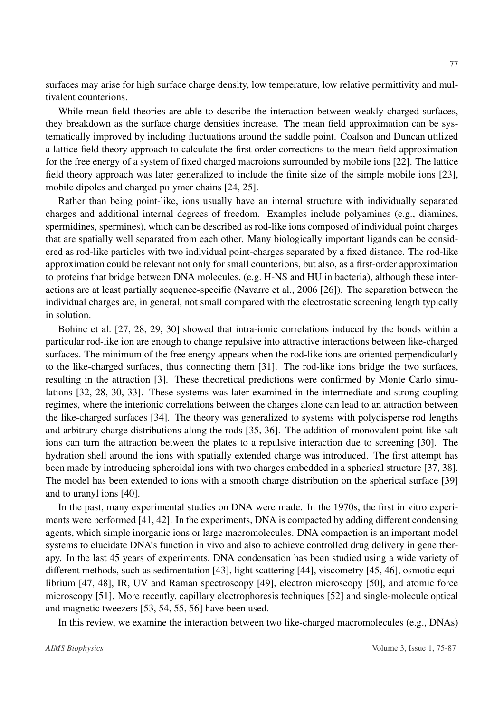surfaces may arise for high surface charge density, low temperature, low relative permittivity and multivalent counterions.

While mean-field theories are able to describe the interaction between weakly charged surfaces, they breakdown as the surface charge densities increase. The mean field approximation can be systematically improved by including fluctuations around the saddle point. Coalson and Duncan utilized a lattice field theory approach to calculate the first order corrections to the mean-field approximation for the free energy of a system of fixed charged macroions surrounded by mobile ions [\[22\]](#page-10-2). The lattice field theory approach was later generalized to include the finite size of the simple mobile ions [\[23\]](#page-10-3), mobile dipoles and charged polymer chains [\[24,](#page-10-4) [25\]](#page-10-5).

Rather than being point-like, ions usually have an internal structure with individually separated charges and additional internal degrees of freedom. Examples include polyamines (e.g., diamines, spermidines, spermines), which can be described as rod-like ions composed of individual point charges that are spatially well separated from each other. Many biologically important ligands can be considered as rod-like particles with two individual point-charges separated by a fixed distance. The rod-like approximation could be relevant not only for small counterions, but also, as a first-order approximation to proteins that bridge between DNA molecules, (e.g. H-NS and HU in bacteria), although these interactions are at least partially sequence-specific (Navarre et al., 2006 [\[26\]](#page-10-6)). The separation between the individual charges are, in general, not small compared with the electrostatic screening length typically in solution.

Bohinc et al. [\[27,](#page-10-7) [28,](#page-10-8) [29,](#page-10-9) [30\]](#page-10-10) showed that intra-ionic correlations induced by the bonds within a particular rod-like ion are enough to change repulsive into attractive interactions between like-charged surfaces. The minimum of the free energy appears when the rod-like ions are oriented perpendicularly to the like-charged surfaces, thus connecting them [\[31\]](#page-10-11). The rod-like ions bridge the two surfaces, resulting in the attraction [\[3\]](#page-9-1). These theoretical predictions were confirmed by Monte Carlo simulations [\[32,](#page-10-12) [28,](#page-10-8) [30,](#page-10-10) [33\]](#page-10-13). These systems was later examined in the intermediate and strong coupling regimes, where the interionic correlations between the charges alone can lead to an attraction between the like-charged surfaces [\[34\]](#page-10-14). The theory was generalized to systems with polydisperse rod lengths and arbitrary charge distributions along the rods [\[35,](#page-10-15) [36\]](#page-10-16). The addition of monovalent point-like salt ions can turn the attraction between the plates to a repulsive interaction due to screening [\[30\]](#page-10-10). The hydration shell around the ions with spatially extended charge was introduced. The first attempt has been made by introducing spheroidal ions with two charges embedded in a spherical structure [\[37,](#page-10-17) [38\]](#page-11-0). The model has been extended to ions with a smooth charge distribution on the spherical surface [\[39\]](#page-11-1) and to uranyl ions [\[40\]](#page-11-2).

In the past, many experimental studies on DNA were made. In the 1970s, the first in vitro experiments were performed [\[41,](#page-11-3) [42\]](#page-11-4). In the experiments, DNA is compacted by adding different condensing agents, which simple inorganic ions or large macromolecules. DNA compaction is an important model systems to elucidate DNA's function in vivo and also to achieve controlled drug delivery in gene therapy. In the last 45 years of experiments, DNA condensation has been studied using a wide variety of different methods, such as sedimentation [\[43\]](#page-11-5), light scattering [\[44\]](#page-11-6), viscometry [\[45,](#page-11-7) [46\]](#page-11-8), osmotic equilibrium [\[47,](#page-11-9) [48\]](#page-11-10), IR, UV and Raman spectroscopy [\[49\]](#page-11-11), electron microscopy [\[50\]](#page-11-12), and atomic force microscopy [\[51\]](#page-11-13). More recently, capillary electrophoresis techniques [\[52\]](#page-11-14) and single-molecule optical and magnetic tweezers [\[53,](#page-11-15) [54,](#page-11-16) [55,](#page-11-17) [56\]](#page-12-0) have been used.

In this review, we examine the interaction between two like-charged macromolecules (e.g., DNAs)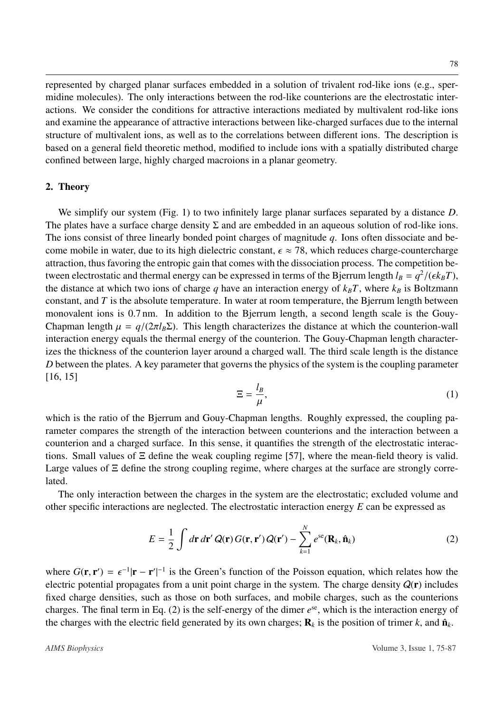represented by charged planar surfaces embedded in a solution of trivalent rod-like ions (e.g., spermidine molecules). The only interactions between the rod-like counterions are the electrostatic interactions. We consider the conditions for attractive interactions mediated by multivalent rod-like ions and examine the appearance of attractive interactions between like-charged surfaces due to the internal structure of multivalent ions, as well as to the correlations between different ions. The description is based on a general field theoretic method, modified to include ions with a spatially distributed charge confined between large, highly charged macroions in a planar geometry.

#### 2. Theory

We simplify our system (Fig. [1\)](#page-4-0) to two infinitely large planar surfaces separated by a distance *D*. The plates have a surface charge density  $\Sigma$  and are embedded in an aqueous solution of rod-like ions. The ions consist of three linearly bonded point charges of magnitude *q*. Ions often dissociate and become mobile in water, due to its high dielectric constant,  $\epsilon \approx 78$ , which reduces charge-countercharge attraction, thus favoring the entropic gain that comes with the dissociation process. The competition between electrostatic and thermal energy can be expressed in terms of the Bjerrum length  $l_B = q^2/(\epsilon k_B T)$ ,<br>the distance at which two jons of charge *a* have an interaction energy of  $k_T T$  where  $k_T$  is Boltzmann the distance at which two ions of charge *q* have an interaction energy of  $k_B T$ , where  $k_B$  is Boltzmann constant, and *T* is the absolute temperature. In water at room temperature, the Bjerrum length between monovalent ions is 0.7 nm. In addition to the Bjerrum length, a second length scale is the Gouy-Chapman length  $\mu = q/(2\pi l_B \Sigma)$ . This length characterizes the distance at which the counterion-wall interaction energy equals the thermal energy of the counterion. The Gouy-Chapman length characterizes the thickness of the counterion layer around a charged wall. The third scale length is the distance *D* between the plates. A key parameter that governs the physics of the system is the coupling parameter [\[16,](#page-9-14) [15\]](#page-9-13)

$$
\Xi = \frac{l_B}{\mu},\tag{1}
$$

which is the ratio of the Bjerrum and Gouy-Chapman lengths. Roughly expressed, the coupling parameter compares the strength of the interaction between counterions and the interaction between a counterion and a charged surface. In this sense, it quantifies the strength of the electrostatic interactions. Small values of Ξ define the weak coupling regime [\[57\]](#page-12-1), where the mean-field theory is valid. Large values of  $\Xi$  define the strong coupling regime, where charges at the surface are strongly correlated.

The only interaction between the charges in the system are the electrostatic; excluded volume and other specific interactions are neglected. The electrostatic interaction energy *E* can be expressed as

<span id="page-3-0"></span>
$$
E = \frac{1}{2} \int d\mathbf{r} d\mathbf{r}' Q(\mathbf{r}) G(\mathbf{r}, \mathbf{r}') Q(\mathbf{r}') - \sum_{k=1}^{N} e^{s\mathbf{e}} (\mathbf{R}_k, \hat{\mathbf{n}}_k)
$$
(2)

where  $G(\mathbf{r}, \mathbf{r}') = \epsilon^{-1} |\mathbf{r} - \mathbf{r}'|^{-1}$  is the Green's function of the Poisson equation, which relates how the electric potential proposates from a unit point charge in the system. The charge density  $O(\mathbf{r})$  includ | electric potential propagates from a unit point charge in the system. The charge density  $Q(\mathbf{r})$  includes fixed charge densities, such as those on both surfaces, and mobile charges, such as the counterions charges. The final term in Eq. [\(2\)](#page-3-0) is the self-energy of the dimer  $e^{se}$ , which is the interaction energy of the charges with the electric field generated by its own charges;  $\mathbf{R}_k$  is the position of trimer  $k$ , and  $\hat{\mathbf{n}}_k$ .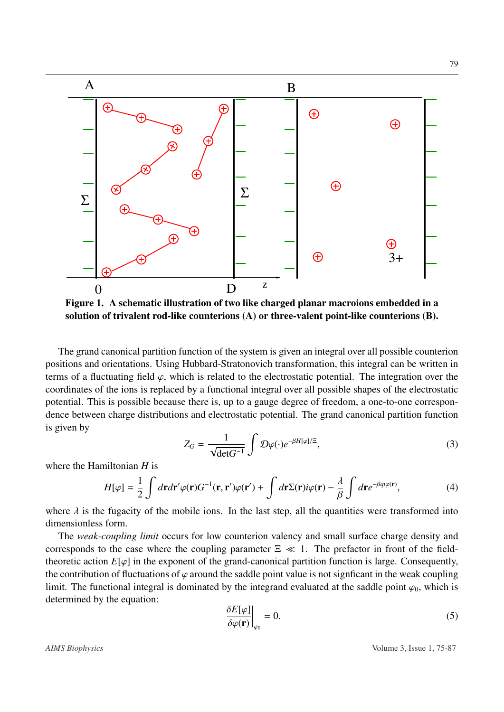<span id="page-4-0"></span>

Figure 1. A schematic illustration of two like charged planar macroions embedded in a solution of trivalent rod-like counterions (A) or three-valent point-like counterions (B).

The grand canonical partition function of the system is given an integral over all possible counterion positions and orientations. Using Hubbard-Stratonovich transformation, this integral can be written in terms of a fluctuating field  $\varphi$ , which is related to the electrostatic potential. The integration over the coordinates of the ions is replaced by a functional integral over all possible shapes of the electrostatic potential. This is possible because there is, up to a gauge degree of freedom, a one-to-one correspondence between charge distributions and electrostatic potential. The grand canonical partition function is given by

$$
Z_G = \frac{1}{\sqrt{\det G^{-1}}} \int \mathcal{D}\varphi(\cdot) e^{-\beta H[\varphi]/\Xi},\tag{3}
$$

where the Hamiltonian *H* is

$$
H[\varphi] = \frac{1}{2} \int d\mathbf{r} d\mathbf{r}' \varphi(\mathbf{r}) G^{-1}(\mathbf{r}, \mathbf{r}') \varphi(\mathbf{r}') + \int d\mathbf{r} \Sigma(\mathbf{r}) i \varphi(\mathbf{r}) - \frac{\lambda}{\beta} \int d\mathbf{r} e^{-\beta q i \varphi(\mathbf{r})}, \tag{4}
$$

where  $\lambda$  is the fugacity of the mobile ions. In the last step, all the quantities were transformed into dimensionless form dimensionless form.

The *weak-coupling limit* occurs for low counterion valency and small surface charge density and corresponds to the case where the coupling parameter  $\Xi \ll 1$ . The prefactor in front of the fieldtheoretic action  $E[\varphi]$  in the exponent of the grand-canonical partition function is large. Consequently, the contribution of fluctuations of  $\varphi$  around the saddle point value is not signficant in the weak coupling limit. The functional integral is dominated by the integrand evaluated at the saddle point  $\varphi_0$ , which is determined by the equation:

$$
\left. \frac{\delta E[\varphi]}{\delta \varphi(\mathbf{r})} \right|_{\varphi_0} = 0. \tag{5}
$$

*AIMS Biophysics* Volume 3, Issue 1, 75-87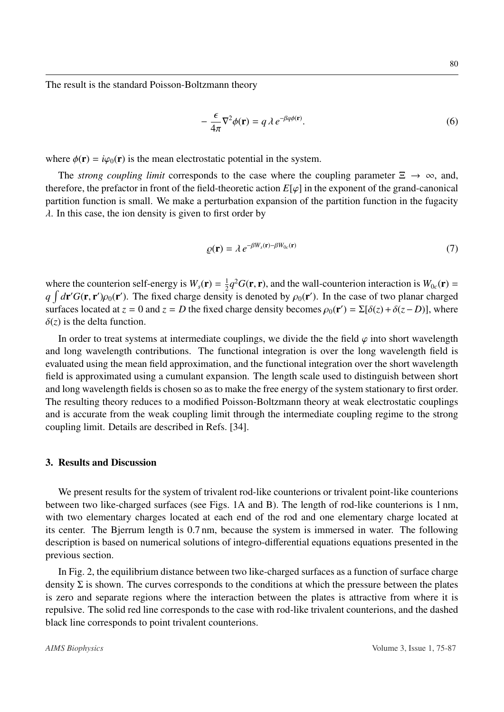The result is the standard Poisson-Boltzmann theory

$$
-\frac{\epsilon}{4\pi}\nabla^2\phi(\mathbf{r}) = q\,\lambda\,e^{-\beta q\phi(\mathbf{r})}.\tag{6}
$$

where  $\phi(\mathbf{r}) = i\varphi_0(\mathbf{r})$  is the mean electrostatic potential in the system.

The *strong coupling limit* corresponds to the case where the coupling parameter  $\Xi \to \infty$ , and, therefore, the prefactor in front of the field-theoretic action  $E[\varphi]$  in the exponent of the grand-canonical partition function is small. We make a perturbation expansion of the partition function in the fugacity  $\lambda$ . In this case, the ion density is given to first order by

$$
\varrho(\mathbf{r}) = \lambda \, e^{-\beta W_s(\mathbf{r}) - \beta W_{0c}(\mathbf{r})} \tag{7}
$$

where the counterion self-energy is  $W_s(\mathbf{r}) = \frac{1}{2}$  $\frac{1}{2}q^2G(\mathbf{r}, \mathbf{r})$ , and the wall-counterion interaction is  $W_{0c}(\mathbf{r}) =$ <br>ty is denoted by  $\alpha(\mathbf{r}')$ . In the case of two planar charged  $q \int d\mathbf{r}' G(\mathbf{r}, \mathbf{r}') \rho_0(\mathbf{r}')$ . The fixed charge density is denoted by  $\rho_0(\mathbf{r}')$ . In the case of two planar charged<br>surfaces located at  $z = 0$  and  $z = D$  the fixed charge density becomes  $\rho_0(\mathbf{r}') = \sum [\delta(z) + \delta(z - D)]$  surfaces located at *z* = 0 and *z* = *D* the fixed charge density becomes  $\rho_0(\mathbf{r}') = \Sigma[\delta(z) + \delta(z - D)]$ , where  $\delta(z)$  is the delta function  $\delta(z)$  is the delta function.

In order to treat systems at intermediate couplings, we divide the the field  $\varphi$  into short wavelength and long wavelength contributions. The functional integration is over the long wavelength field is evaluated using the mean field approximation, and the functional integration over the short wavelength field is approximated using a cumulant expansion. The length scale used to distinguish between short and long wavelength fields is chosen so as to make the free energy of the system stationary to first order. The resulting theory reduces to a modified Poisson-Boltzmann theory at weak electrostatic couplings and is accurate from the weak coupling limit through the intermediate coupling regime to the strong coupling limit. Details are described in Refs. [\[34\]](#page-10-14).

#### 3. Results and Discussion

We present results for the system of trivalent rod-like counterions or trivalent point-like counterions between two like-charged surfaces (see Figs. [1A](#page-4-0) and B). The length of rod-like counterions is 1 nm, with two elementary charges located at each end of the rod and one elementary charge located at its center. The Bjerrum length is 0.7 nm, because the system is immersed in water. The following description is based on numerical solutions of integro-differential equations equations presented in the previous section.

In Fig. [2,](#page-6-0) the equilibrium distance between two like-charged surfaces as a function of surface charge density  $\Sigma$  is shown. The curves corresponds to the conditions at which the pressure between the plates is zero and separate regions where the interaction between the plates is attractive from where it is repulsive. The solid red line corresponds to the case with rod-like trivalent counterions, and the dashed black line corresponds to point trivalent counterions.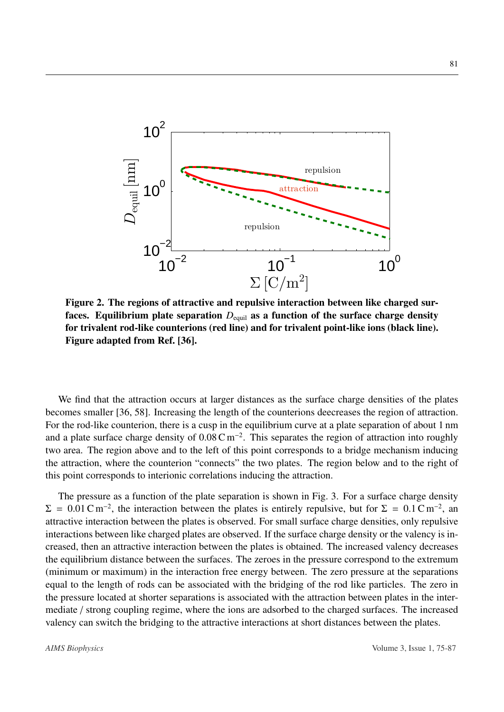<span id="page-6-0"></span>

Figure 2. The regions of attractive and repulsive interaction between like charged surfaces. Equilibrium plate separation  $D_{\text{equil}}$  as a function of the surface charge density for trivalent rod-like counterions (red line) and for trivalent point-like ions (black line). Figure adapted from Ref. [\[36\]](#page-10-16).

We find that the attraction occurs at larger distances as the surface charge densities of the plates becomes smaller [\[36,](#page-10-16) [58\]](#page-12-2). Increasing the length of the counterions deecreases the region of attraction. For the rod-like counterion, there is a cusp in the equilibrium curve at a plate separation of about 1 nm and a plate surface charge density of  $0.08 \text{ C m}^{-2}$ . This separates the region of attraction into roughly two area. The region above and to the left of this point corresponds to a bridge mechanism inducing the attraction, where the counterion "connects" the two plates. The region below and to the right of this point corresponds to interionic correlations inducing the attraction.

The pressure as a function of the plate separation is shown in Fig. [3.](#page-7-0) For a surface charge density  $\Sigma = 0.01 \text{ C m}^{-2}$ , the interaction between the plates is entirely repulsive, but for  $\Sigma = 0.1 \text{ C m}^{-2}$ , and attractive interaction between the plates is observed. For small surface charge densities, only repulsive attractive interaction between the plates is observed. For small surface charge densities, only repulsive interactions between like charged plates are observed. If the surface charge density or the valency is increased, then an attractive interaction between the plates is obtained. The increased valency decreases the equilibrium distance between the surfaces. The zeroes in the pressure correspond to the extremum (minimum or maximum) in the interaction free energy between. The zero pressure at the separations equal to the length of rods can be associated with the bridging of the rod like particles. The zero in the pressure located at shorter separations is associated with the attraction between plates in the intermediate / strong coupling regime, where the ions are adsorbed to the charged surfaces. The increased valency can switch the bridging to the attractive interactions at short distances between the plates.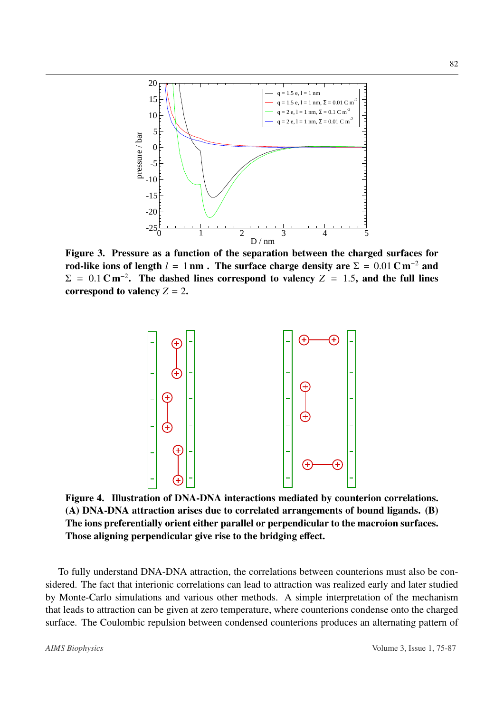<span id="page-7-0"></span>

<span id="page-7-1"></span>Figure 3. Pressure as a function of the separation between the charged surfaces for rod-like ions of length  $l = 1$  nm. The surface charge density are  $\Sigma = 0.01$  C m<sup>-2</sup> and  $\Sigma = 0.1 \text{ C m}^{-2}$ . The dashed lines correspond to valency *Z* = 1.5, and the full lines correspond to valency *Z* – 2 correspond to valency  $Z = 2$ .



Figure 4. Illustration of DNA-DNA interactions mediated by counterion correlations. (A) DNA-DNA attraction arises due to correlated arrangements of bound ligands. (B) The ions preferentially orient either parallel or perpendicular to the macroion surfaces. Those aligning perpendicular give rise to the bridging effect.

To fully understand DNA-DNA attraction, the correlations between counterions must also be considered. The fact that interionic correlations can lead to attraction was realized early and later studied by Monte-Carlo simulations and various other methods. A simple interpretation of the mechanism that leads to attraction can be given at zero temperature, where counterions condense onto the charged surface. The Coulombic repulsion between condensed counterions produces an alternating pattern of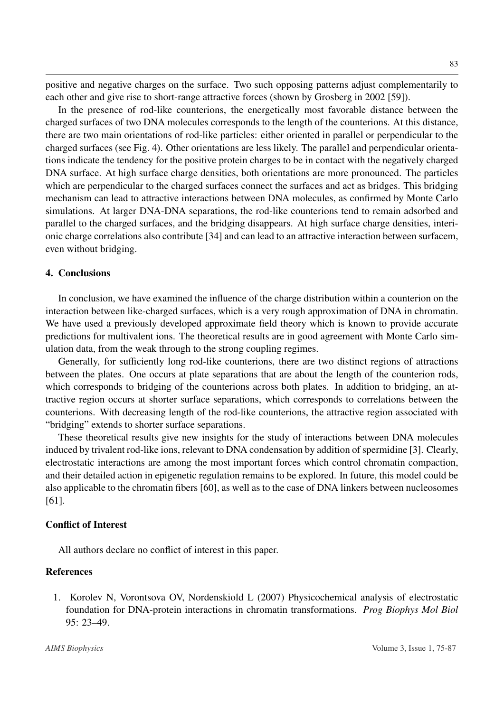positive and negative charges on the surface. Two such opposing patterns adjust complementarily to each other and give rise to short-range attractive forces (shown by Grosberg in 2002 [\[59\]](#page-12-3)).

In the presence of rod-like counterions, the energetically most favorable distance between the charged surfaces of two DNA molecules corresponds to the length of the counterions. At this distance, there are two main orientations of rod-like particles: either oriented in parallel or perpendicular to the charged surfaces (see Fig. [4\)](#page-7-1). Other orientations are less likely. The parallel and perpendicular orientations indicate the tendency for the positive protein charges to be in contact with the negatively charged DNA surface. At high surface charge densities, both orientations are more pronounced. The particles which are perpendicular to the charged surfaces connect the surfaces and act as bridges. This bridging mechanism can lead to attractive interactions between DNA molecules, as confirmed by Monte Carlo simulations. At larger DNA-DNA separations, the rod-like counterions tend to remain adsorbed and parallel to the charged surfaces, and the bridging disappears. At high surface charge densities, interionic charge correlations also contribute [\[34\]](#page-10-14) and can lead to an attractive interaction between surfacem, even without bridging.

#### 4. Conclusions

In conclusion, we have examined the influence of the charge distribution within a counterion on the interaction between like-charged surfaces, which is a very rough approximation of DNA in chromatin. We have used a previously developed approximate field theory which is known to provide accurate predictions for multivalent ions. The theoretical results are in good agreement with Monte Carlo simulation data, from the weak through to the strong coupling regimes.

Generally, for sufficiently long rod-like counterions, there are two distinct regions of attractions between the plates. One occurs at plate separations that are about the length of the counterion rods, which corresponds to bridging of the counterions across both plates. In addition to bridging, an attractive region occurs at shorter surface separations, which corresponds to correlations between the counterions. With decreasing length of the rod-like counterions, the attractive region associated with "bridging" extends to shorter surface separations.

These theoretical results give new insights for the study of interactions between DNA molecules induced by trivalent rod-like ions, relevant to DNA condensation by addition of spermidine [\[3\]](#page-9-1). Clearly, electrostatic interactions are among the most important forces which control chromatin compaction, and their detailed action in epigenetic regulation remains to be explored. In future, this model could be also applicable to the chromatin fibers [\[60\]](#page-12-4), as well as to the case of DNA linkers between nucleosomes [\[61\]](#page-12-5).

#### Conflict of Interest

All authors declare no conflict of interest in this paper.

#### References

<span id="page-8-0"></span>1. Korolev N, Vorontsova OV, Nordenskiold L (2007) Physicochemical analysis of electrostatic foundation for DNA-protein interactions in chromatin transformations. *Prog Biophys Mol Biol* 95: 23–49.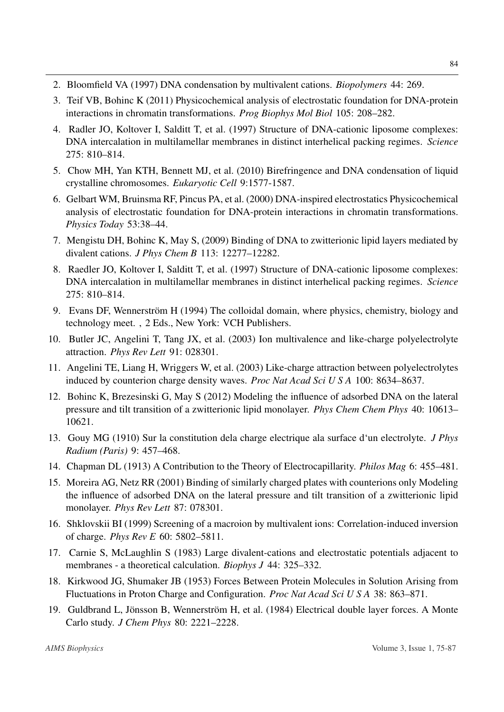- <span id="page-9-0"></span>2. Bloomfield VA (1997) DNA condensation by multivalent cations. *Biopolymers* 44: 269.
- <span id="page-9-1"></span>3. Teif VB, Bohinc K (2011) Physicochemical analysis of electrostatic foundation for DNA-protein interactions in chromatin transformations. *Prog Biophys Mol Biol* 105: 208–282.
- <span id="page-9-2"></span>4. Radler JO, Koltover I, Salditt T, et al. (1997) Structure of DNA-cationic liposome complexes: DNA intercalation in multilamellar membranes in distinct interhelical packing regimes. *Science* 275: 810–814.
- <span id="page-9-10"></span>5. Chow MH, Yan KTH, Bennett MJ, et al. (2010) Birefringence and DNA condensation of liquid crystalline chromosomes. *Eukaryotic Cell* 9:1577-1587.
- <span id="page-9-3"></span>6. Gelbart WM, Bruinsma RF, Pincus PA, et al. (2000) DNA-inspired electrostatics Physicochemical analysis of electrostatic foundation for DNA-protein interactions in chromatin transformations. *Physics Today* 53:38–44.
- <span id="page-9-4"></span>7. Mengistu DH, Bohinc K, May S, (2009) Binding of DNA to zwitterionic lipid layers mediated by divalent cations. *J Phys Chem B* 113: 12277–12282.
- <span id="page-9-5"></span>8. Raedler JO, Koltover I, Salditt T, et al. (1997) Structure of DNA-cationic liposome complexes: DNA intercalation in multilamellar membranes in distinct interhelical packing regimes. *Science* 275: 810–814.
- <span id="page-9-6"></span>9. Evans DF, Wennerström H (1994) The colloidal domain, where physics, chemistry, biology and technology meet. , 2 Eds., New York: VCH Publishers.
- <span id="page-9-7"></span>10. Butler JC, Angelini T, Tang JX, et al. (2003) Ion multivalence and like-charge polyelectrolyte attraction. *Phys Rev Lett* 91: 028301.
- <span id="page-9-8"></span>11. Angelini TE, Liang H, Wriggers W, et al. (2003) Like-charge attraction between polyelectrolytes induced by counterion charge density waves. *Proc Nat Acad Sci U S A* 100: 8634–8637.
- <span id="page-9-9"></span>12. Bohinc K, Brezesinski G, May S (2012) Modeling the influence of adsorbed DNA on the lateral pressure and tilt transition of a zwitterionic lipid monolayer. *Phys Chem Chem Phys* 40: 10613– 10621.
- <span id="page-9-11"></span>13. Gouy MG (1910) Sur la constitution dela charge electrique ala surface d'un electrolyte. *J Phys Radium (Paris)* 9: 457–468.
- <span id="page-9-12"></span>14. Chapman DL (1913) A Contribution to the Theory of Electrocapillarity. *Philos Mag* 6: 455–481.
- <span id="page-9-13"></span>15. Moreira AG, Netz RR (2001) Binding of similarly charged plates with counterions only Modeling the influence of adsorbed DNA on the lateral pressure and tilt transition of a zwitterionic lipid monolayer. *Phys Rev Lett* 87: 078301.
- <span id="page-9-14"></span>16. Shklovskii BI (1999) Screening of a macroion by multivalent ions: Correlation-induced inversion of charge. *Phys Rev E* 60: 5802–5811.
- <span id="page-9-15"></span>17. Carnie S, McLaughlin S (1983) Large divalent-cations and electrostatic potentials adjacent to membranes - a theoretical calculation. *Biophys J* 44: 325–332.
- <span id="page-9-16"></span>18. Kirkwood JG, Shumaker JB (1953) Forces Between Protein Molecules in Solution Arising from Fluctuations in Proton Charge and Configuration. *Proc Nat Acad Sci U S A* 38: 863–871.
- <span id="page-9-17"></span>19. Guldbrand L, Jönsson B, Wennerström H, et al. (1984) Electrical double layer forces. A Monte Carlo study. *J Chem Phys* 80: 2221–2228.

84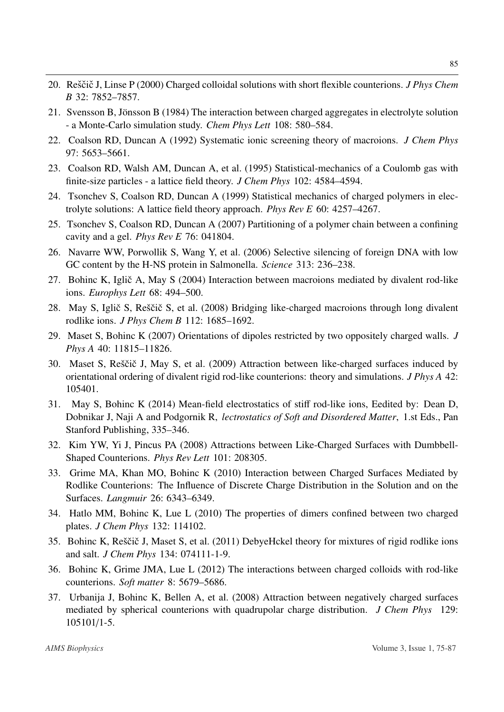- <span id="page-10-0"></span>20. Reščič J, Linse P (2000) Charged colloidal solutions with short flexible counterions. *J Phys Chem B* 32: 7852–7857.
- <span id="page-10-1"></span>21. Svensson B, Jönsson B (1984) The interaction between charged aggregates in electrolyte solution - a Monte-Carlo simulation study. *Chem Phys Lett* 108: 580–584.
- <span id="page-10-2"></span>22. Coalson RD, Duncan A (1992) Systematic ionic screening theory of macroions. *J Chem Phys* 97: 5653–5661.
- <span id="page-10-3"></span>23. Coalson RD, Walsh AM, Duncan A, et al. (1995) Statistical-mechanics of a Coulomb gas with finite-size particles - a lattice field theory. *J Chem Phys* 102: 4584–4594.
- <span id="page-10-4"></span>24. Tsonchev S, Coalson RD, Duncan A (1999) Statistical mechanics of charged polymers in electrolyte solutions: A lattice field theory approach. *Phys Rev E* 60: 4257–4267.
- <span id="page-10-5"></span>25. Tsonchev S, Coalson RD, Duncan A (2007) Partitioning of a polymer chain between a confining cavity and a gel. *Phys Rev E* 76: 041804.
- <span id="page-10-6"></span>26. Navarre WW, Porwollik S, Wang Y, et al. (2006) Selective silencing of foreign DNA with low GC content by the H-NS protein in Salmonella. *Science* 313: 236–238.
- <span id="page-10-7"></span>27. Bohinc K, Iglič A, May S (2004) Interaction between macroions mediated by divalent rod-like ions. *Europhys Lett* 68: 494–500.
- <span id="page-10-8"></span>28. May S, Iglič S, Reščič S, et al. (2008) Bridging like-charged macroions through long divalent rodlike ions. *J Phys Chem B* 112: 1685–1692.
- <span id="page-10-9"></span>29. Maset S, Bohinc K (2007) Orientations of dipoles restricted by two oppositely charged walls. *J Phys A* 40: 11815–11826.
- <span id="page-10-10"></span>30. Maset S, Reščič J, May S, et al. (2009) Attraction between like-charged surfaces induced by orientational ordering of divalent rigid rod-like counterions: theory and simulations. *J Phys A* 42: 105401.
- <span id="page-10-11"></span>31. May S, Bohinc K (2014) Mean-field electrostatics of stiff rod-like ions, Eedited by: Dean D, Dobnikar J, Naji A and Podgornik R, *lectrostatics of Soft and Disordered Matter*, 1.st Eds., Pan Stanford Publishing, 335–346.
- <span id="page-10-12"></span>32. Kim YW, Yi J, Pincus PA (2008) Attractions between Like-Charged Surfaces with Dumbbell-Shaped Counterions. *Phys Rev Lett* 101: 208305.
- <span id="page-10-13"></span>33. Grime MA, Khan MO, Bohinc K (2010) Interaction between Charged Surfaces Mediated by Rodlike Counterions: The Influence of Discrete Charge Distribution in the Solution and on the Surfaces. *Langmuir* 26: 6343–6349.
- <span id="page-10-14"></span>34. Hatlo MM, Bohinc K, Lue L (2010) The properties of dimers confined between two charged plates. *J Chem Phys* 132: 114102.
- <span id="page-10-15"></span>35. Bohinc K, Reščič J, Maset S, et al. (2011) DebyeHckel theory for mixtures of rigid rodlike ions and salt. *J Chem Phys* 134: 074111-1-9.
- <span id="page-10-16"></span>36. Bohinc K, Grime JMA, Lue L (2012) The interactions between charged colloids with rod-like counterions. *Soft matter* 8: 5679–5686.
- <span id="page-10-17"></span>37. Urbanija J, Bohinc K, Bellen A, et al. (2008) Attraction between negatively charged surfaces mediated by spherical counterions with quadrupolar charge distribution. *J Chem Phys* 129: 105101/1-5.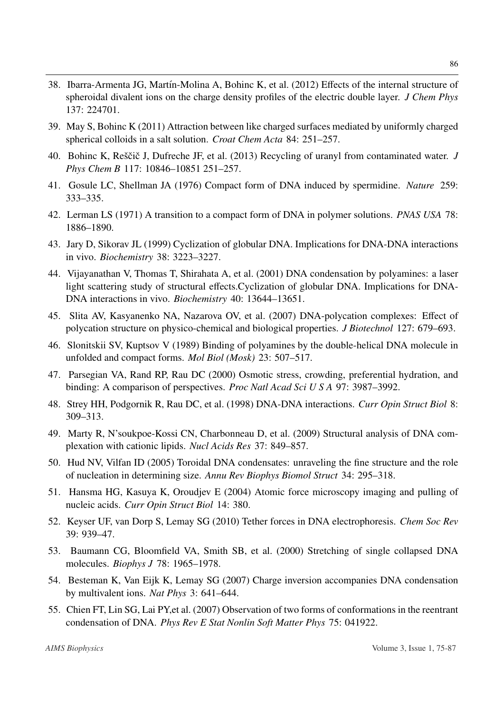- <span id="page-11-0"></span>38. Ibarra-Armenta JG, Martín-Molina A, Bohinc K, et al. (2012) Effects of the internal structure of spheroidal divalent ions on the charge density profiles of the electric double layer. *J Chem Phys* 137: 224701.
- <span id="page-11-1"></span>39. May S, Bohinc K (2011) Attraction between like charged surfaces mediated by uniformly charged spherical colloids in a salt solution. *Croat Chem Acta* 84: 251–257.
- <span id="page-11-2"></span>40. Bohinc K, Reščič J, Dufreche JF, et al. (2013) Recycling of uranyl from contaminated water. *J Phys Chem B* 117: 10846–10851 251–257.
- <span id="page-11-3"></span>41. Gosule LC, Shellman JA (1976) Compact form of DNA induced by spermidine. *Nature* 259: 333–335.
- <span id="page-11-4"></span>42. Lerman LS (1971) A transition to a compact form of DNA in polymer solutions. *PNAS USA* 78: 1886–1890.
- <span id="page-11-5"></span>43. Jary D, Sikorav JL (1999) Cyclization of globular DNA. Implications for DNA-DNA interactions in vivo. *Biochemistry* 38: 3223–3227.
- <span id="page-11-6"></span>44. Vijayanathan V, Thomas T, Shirahata A, et al. (2001) DNA condensation by polyamines: a laser light scattering study of structural effects.Cyclization of globular DNA. Implications for DNA-DNA interactions in vivo. *Biochemistry* 40: 13644–13651.
- <span id="page-11-7"></span>45. Slita AV, Kasyanenko NA, Nazarova OV, et al. (2007) DNA-polycation complexes: Effect of polycation structure on physico-chemical and biological properties. *J Biotechnol* 127: 679–693.
- <span id="page-11-8"></span>46. Slonitskii SV, Kuptsov V (1989) Binding of polyamines by the double-helical DNA molecule in unfolded and compact forms. *Mol Biol (Mosk)* 23: 507–517.
- <span id="page-11-9"></span>47. Parsegian VA, Rand RP, Rau DC (2000) Osmotic stress, crowding, preferential hydration, and binding: A comparison of perspectives. *Proc Natl Acad Sci U S A* 97: 3987–3992.
- <span id="page-11-10"></span>48. Strey HH, Podgornik R, Rau DC, et al. (1998) DNA-DNA interactions. *Curr Opin Struct Biol* 8: 309–313.
- <span id="page-11-11"></span>49. Marty R, N'soukpoe-Kossi CN, Charbonneau D, et al. (2009) Structural analysis of DNA complexation with cationic lipids. *Nucl Acids Res* 37: 849–857.
- <span id="page-11-12"></span>50. Hud NV, Vilfan ID (2005) Toroidal DNA condensates: unraveling the fine structure and the role of nucleation in determining size. *Annu Rev Biophys Biomol Struct* 34: 295–318.
- <span id="page-11-13"></span>51. Hansma HG, Kasuya K, Oroudjev E (2004) Atomic force microscopy imaging and pulling of nucleic acids. *Curr Opin Struct Biol* 14: 380.
- <span id="page-11-14"></span>52. Keyser UF, van Dorp S, Lemay SG (2010) Tether forces in DNA electrophoresis. *Chem Soc Rev* 39: 939–47.
- <span id="page-11-15"></span>53. Baumann CG, Bloomfield VA, Smith SB, et al. (2000) Stretching of single collapsed DNA molecules. *Biophys J* 78: 1965–1978.
- <span id="page-11-16"></span>54. Besteman K, Van Eijk K, Lemay SG (2007) Charge inversion accompanies DNA condensation by multivalent ions. *Nat Phys* 3: 641–644.
- <span id="page-11-17"></span>55. Chien FT, Lin SG, Lai PY,et al. (2007) Observation of two forms of conformations in the reentrant condensation of DNA. *Phys Rev E Stat Nonlin Soft Matter Phys* 75: 041922.

86